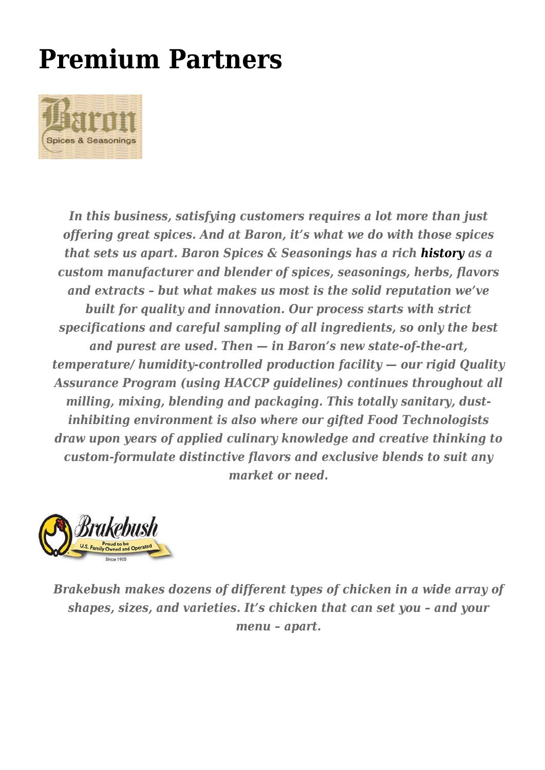## **[Premium Partners](https://trichilofoods.com/site/premium-vendors-2/)**



*In this business, satisfying customers requires a lot more than just offering great spices. And at Baron, it's what we do with those spices that sets us apart. Baron Spices & Seasonings has a rich [history](http://www.baronspices.com/about_baron/history.html) as a custom manufacturer and blender of spices, seasonings, herbs, flavors and extracts – but what makes us most is the solid reputation we've built for quality and innovation. Our process starts with strict specifications and careful sampling of all ingredients, so only the best and purest are used. Then — in Baron's new state-of-the-art, temperature/ humidity-controlled production facility — our rigid Quality Assurance Program (using HACCP guidelines) continues throughout all milling, mixing, blending and packaging. This totally sanitary, dustinhibiting environment is also where our gifted Food Technologists draw upon years of applied culinary knowledge and creative thinking to custom-formulate distinctive flavors and exclusive blends to suit any market or need.*



*Brakebush makes dozens of different types of chicken in a wide array of shapes, sizes, and varieties. It's chicken that can set you – and your menu – apart.*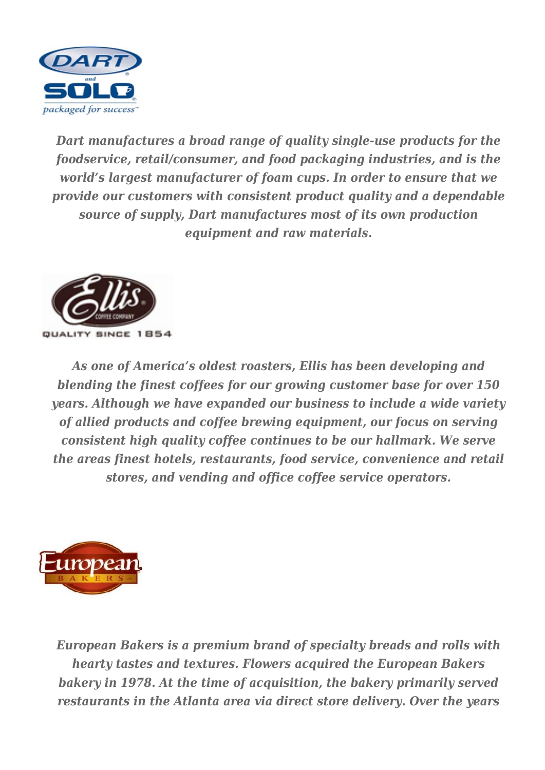

*Dart manufactures a broad range of quality single-use products for the foodservice, retail/consumer, and food packaging industries, and is the world's largest manufacturer of foam cups. In order to ensure that we provide our customers with consistent product quality and a dependable source of supply, Dart manufactures most of its own production equipment and raw materials.*



*As one of America's oldest roasters, Ellis has been developing and blending the finest coffees for our growing customer base for over 150 years. Although we have expanded our business to include a wide variety of allied products and coffee brewing equipment, our focus on serving consistent high quality coffee continues to be our hallmark. We serve the areas finest hotels, restaurants, food service, convenience and retail stores, and vending and office coffee service operators.*



*European Bakers is a premium brand of specialty breads and rolls with hearty tastes and textures. Flowers acquired the European Bakers bakery in 1978. At the time of acquisition, the bakery primarily served restaurants in the Atlanta area via direct store delivery. Over the years*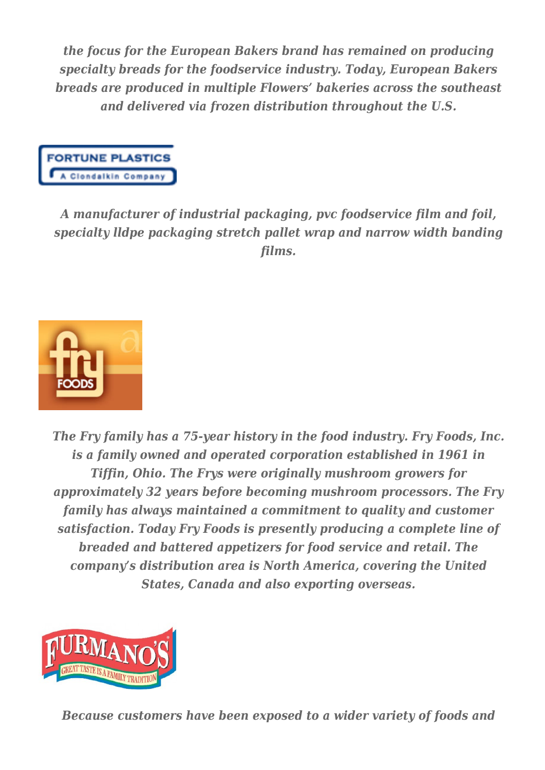*the focus for the European Bakers brand has remained on producing specialty breads for the foodservice industry. Today, European Bakers breads are produced in multiple Flowers' bakeries across the southeast and delivered via frozen distribution throughout the U.S.*



*A manufacturer of industrial packaging, pvc foodservice film and foil, specialty lldpe packaging stretch pallet wrap and narrow width banding films.*



*The Fry family has a 75-year history in the food industry. Fry Foods, Inc. is a family owned and operated corporation established in 1961 in Tiffin, Ohio. The Frys were originally mushroom growers for approximately 32 years before becoming mushroom processors. The Fry family has always maintained a commitment to quality and customer satisfaction. Today Fry Foods is presently producing a complete line of breaded and battered appetizers for food service and retail. The company's distribution area is North America, covering the United States, Canada and also exporting overseas.*



*Because customers have been exposed to a wider variety of foods and*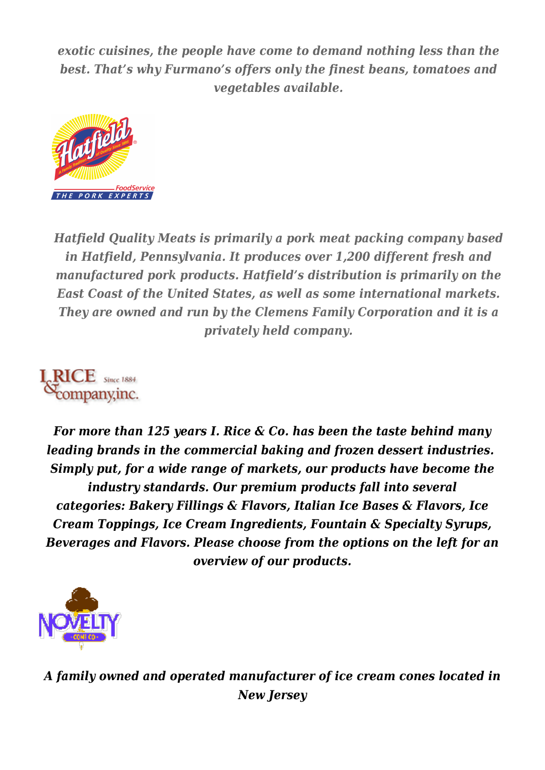*exotic cuisines, the people have come to demand nothing less than the best. That's why Furmano's offers only the finest beans, tomatoes and vegetables available.*



*Hatfield Quality Meats is primarily a pork meat packing company based in Hatfield, Pennsylvania. It produces over 1,200 different fresh and manufactured pork products. Hatfield's distribution is primarily on the East Coast of the United States, as well as some international markets. They are owned and run by the Clemens Family Corporation and it is a privately held company.*

*For more than 125 years I. Rice & Co. has been the taste behind many leading brands in the commercial baking and frozen dessert industries. Simply put, for a wide range of markets, our products have become the industry standards. Our premium products fall into several categories: Bakery Fillings & Flavors, Italian Ice Bases & Flavors, Ice Cream Toppings, Ice Cream Ingredients, Fountain & Specialty Syrups, Beverages and Flavors. Please choose from the options on the left for an overview of our products.*



*A family owned and operated manufacturer of ice cream cones located in New Jersey*